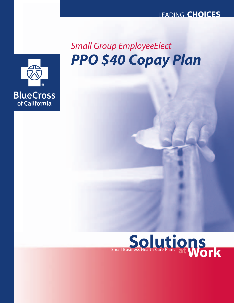# *PPO \$40 Copay Plan Small Group EmployeeElect*



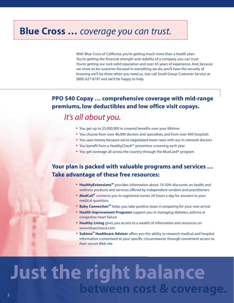## **Blue Cross …** *coverage you can trust.*

With Blue Cross of California, you're getting much more than a health plan. You're getting the financial strength and stability of a company you can trust. You're getting our rock solid reputation and over 65 years of experience. And, because we strive to be customer-focused in everything we do, you'll have the security of knowing we'll be there when you need us. Just call Small Group Customer Service at (800) 627-8797 and we'll be happy to help.

## **PPO \$40 Copay … comprehensive coverage with mid-range premiums, low deductibles and low office visit copays.**

## *It's all about you.*

- **•** You get up to \$5,000,000 in covered benefits over your lifetime
- **•** You choose from over 46,000 doctors and specialists, and from over 440 hospitals
- **•** You save money because we've negotiated lower rates with our in-network doctors
- You benefit from a HealthyCheck<sup>SM</sup> preventive screening each year
- **•** You get coverage all across the country through the BlueCard® program

## **Your plan is packed with valuable programs and services … Take advantage of these free resources:**

- **HealthyExtensions**<sup>SM</sup> provides information about 10-50% discounts on health and wellness products and services offered by independent vendors and practitioners
- **• MedCall®** connects you to registered nurses 24 hours a day for answers to your medical questions
- **Baby Connection<sup>SM</sup>** helps you take positive steps in preparing for your new arrival
- **• Health Improvement Programs** support you in managing diabetes, asthma or congestive heart failure
- **• Healthy Living** gives you access to a wealth of information and resources on www.bluecrossca.com
- **• Subimo® Healthcare Advisor** offers you the ability to research medical and hospital information customized to your specific circumstances through convenient access to their secure Web site

# **Just the right balance between cost & coverage.**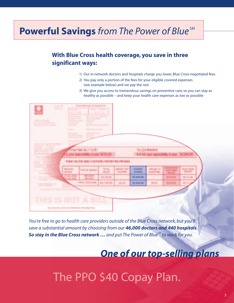# **Powerful Savings** *from The Power of Blue SM*

## **With Blue Cross health coverage, you save in three significant ways:**

- 1) Our in-network doctors and hospitals charge you lower, Blue Cross-negotiated fees
- 2) You pay only a portion of the fees for your eligible covered expenses (see example below) and we pay the rest
- 3) We give you access to tremendous savings on preventive care, so you can stay as *healthy* as possible – and keep your health care expenses as *low* as possible

| <b>Common</b><br>$\sim$<br><b>Scott Controller Controller</b><br><b>Service Controller Controller</b><br><b>CALL COMPANY</b><br><b>Several Accounts</b><br><b>SERVICE CONTROL</b><br><b>Service Contract</b><br><b>Considered Brooklynnight</b><br>--<br><b>Service Construction</b><br><b>State Street</b><br><b>STEP OF THE</b><br><b>Committee</b><br><b>SEPTEMBER</b><br><b>The Contract of Street</b><br><b>Report</b><br>- 4<br><b>CONTRACTOR</b> CONTRACTOR<br><b>Section</b><br>Ocus Paid \$2,335.00<br><b>Tac (Confident</b><br>a your responsibility to care \$235.00<br><b>E il rist, your responsibility to</b><br>٠<br>THREE VISITING INNOVATION PROTECTIVE PROVIDED.<br>GAN TVL<br>醞<br><b>PATIENT</b><br><b>BAR OKORA</b><br><b>SHOW</b><br><b>Limit of Glove A</b><br><b>SAVINGS</b><br><b>HIR CTAIL</b><br>聖論<br><b>TENSIS</b><br>\$2,840.80<br><b>MARINE</b><br><b>B.H. FARLISH</b><br><b>BEVES</b><br><b>REALTS ARE</b><br>Art, F.Sch Art<br>811600<br>\$2,840.80<br><b>Multiply</b><br><b>MORE</b><br><b>STATISTICS</b><br><b>THIS IS NOT</b><br>л<br><b>RILL</b> |   |  |  |  |  |  |
|---------------------------------------------------------------------------------------------------------------------------------------------------------------------------------------------------------------------------------------------------------------------------------------------------------------------------------------------------------------------------------------------------------------------------------------------------------------------------------------------------------------------------------------------------------------------------------------------------------------------------------------------------------------------------------------------------------------------------------------------------------------------------------------------------------------------------------------------------------------------------------------------------------------------------------------------------------------------------------------------------------------------------------------------------------------------------------------|---|--|--|--|--|--|
|                                                                                                                                                                                                                                                                                                                                                                                                                                                                                                                                                                                                                                                                                                                                                                                                                                                                                                                                                                                                                                                                                       | ٠ |  |  |  |  |  |
|                                                                                                                                                                                                                                                                                                                                                                                                                                                                                                                                                                                                                                                                                                                                                                                                                                                                                                                                                                                                                                                                                       |   |  |  |  |  |  |
|                                                                                                                                                                                                                                                                                                                                                                                                                                                                                                                                                                                                                                                                                                                                                                                                                                                                                                                                                                                                                                                                                       |   |  |  |  |  |  |
|                                                                                                                                                                                                                                                                                                                                                                                                                                                                                                                                                                                                                                                                                                                                                                                                                                                                                                                                                                                                                                                                                       |   |  |  |  |  |  |
|                                                                                                                                                                                                                                                                                                                                                                                                                                                                                                                                                                                                                                                                                                                                                                                                                                                                                                                                                                                                                                                                                       |   |  |  |  |  |  |
|                                                                                                                                                                                                                                                                                                                                                                                                                                                                                                                                                                                                                                                                                                                                                                                                                                                                                                                                                                                                                                                                                       |   |  |  |  |  |  |
|                                                                                                                                                                                                                                                                                                                                                                                                                                                                                                                                                                                                                                                                                                                                                                                                                                                                                                                                                                                                                                                                                       |   |  |  |  |  |  |
|                                                                                                                                                                                                                                                                                                                                                                                                                                                                                                                                                                                                                                                                                                                                                                                                                                                                                                                                                                                                                                                                                       |   |  |  |  |  |  |
|                                                                                                                                                                                                                                                                                                                                                                                                                                                                                                                                                                                                                                                                                                                                                                                                                                                                                                                                                                                                                                                                                       |   |  |  |  |  |  |
|                                                                                                                                                                                                                                                                                                                                                                                                                                                                                                                                                                                                                                                                                                                                                                                                                                                                                                                                                                                                                                                                                       |   |  |  |  |  |  |
|                                                                                                                                                                                                                                                                                                                                                                                                                                                                                                                                                                                                                                                                                                                                                                                                                                                                                                                                                                                                                                                                                       |   |  |  |  |  |  |
|                                                                                                                                                                                                                                                                                                                                                                                                                                                                                                                                                                                                                                                                                                                                                                                                                                                                                                                                                                                                                                                                                       |   |  |  |  |  |  |
|                                                                                                                                                                                                                                                                                                                                                                                                                                                                                                                                                                                                                                                                                                                                                                                                                                                                                                                                                                                                                                                                                       |   |  |  |  |  |  |
|                                                                                                                                                                                                                                                                                                                                                                                                                                                                                                                                                                                                                                                                                                                                                                                                                                                                                                                                                                                                                                                                                       |   |  |  |  |  |  |
|                                                                                                                                                                                                                                                                                                                                                                                                                                                                                                                                                                                                                                                                                                                                                                                                                                                                                                                                                                                                                                                                                       |   |  |  |  |  |  |
|                                                                                                                                                                                                                                                                                                                                                                                                                                                                                                                                                                                                                                                                                                                                                                                                                                                                                                                                                                                                                                                                                       |   |  |  |  |  |  |
|                                                                                                                                                                                                                                                                                                                                                                                                                                                                                                                                                                                                                                                                                                                                                                                                                                                                                                                                                                                                                                                                                       |   |  |  |  |  |  |
|                                                                                                                                                                                                                                                                                                                                                                                                                                                                                                                                                                                                                                                                                                                                                                                                                                                                                                                                                                                                                                                                                       |   |  |  |  |  |  |
|                                                                                                                                                                                                                                                                                                                                                                                                                                                                                                                                                                                                                                                                                                                                                                                                                                                                                                                                                                                                                                                                                       |   |  |  |  |  |  |
| <b><i><u>PERSONAL</u></i></b>                                                                                                                                                                                                                                                                                                                                                                                                                                                                                                                                                                                                                                                                                                                                                                                                                                                                                                                                                                                                                                                         |   |  |  |  |  |  |
|                                                                                                                                                                                                                                                                                                                                                                                                                                                                                                                                                                                                                                                                                                                                                                                                                                                                                                                                                                                                                                                                                       |   |  |  |  |  |  |

*You're free to go to health care providers outside of the Blue Cross network, but you'll save a substantial amount by choosing from our 46,000 doctors and 440 hospitals. So stay in the Blue Cross network … and put The Power of BlueSM to work for you.*

## *One of our top-selling plans*

# The PPO \$40 Copay Plan.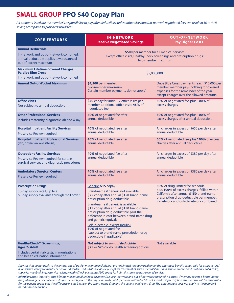## **SMALL GROUP PPO \$40 Copay Plan**

*All amounts listed are the member's responsibility to pay after deductibles, unless otherwise noted. In-network negotiated fees can result in 30 to 40% savings compared to providers' usual fees.*

| <b>CORE FEATURES</b>                                                                                                                                  | <b>IN-NETWORK</b><br><b>Receive Negotiated Savings</b>                                                                                                                                                                                                                                                                                                                                                                                                                             | <b>OUT-OF-NETWORK</b><br><b>Pay Higher Costs</b>                                                                                                                                                                   |  |  |  |
|-------------------------------------------------------------------------------------------------------------------------------------------------------|------------------------------------------------------------------------------------------------------------------------------------------------------------------------------------------------------------------------------------------------------------------------------------------------------------------------------------------------------------------------------------------------------------------------------------------------------------------------------------|--------------------------------------------------------------------------------------------------------------------------------------------------------------------------------------------------------------------|--|--|--|
| <b>Annual Deductible</b><br>In-network and out-of-network combined,<br>annual deductible applies towards annual<br>out-of-pocket maximum              | \$500 per member for all medical services<br>except office visits, HealthyCheck screenings and prescription drugs;<br>two-member maximum                                                                                                                                                                                                                                                                                                                                           |                                                                                                                                                                                                                    |  |  |  |
| <b>Maximum Lifetime Covered Charges</b><br><b>Paid by Blue Cross</b><br>In-network and out-of-network combined                                        | \$5,000,000                                                                                                                                                                                                                                                                                                                                                                                                                                                                        |                                                                                                                                                                                                                    |  |  |  |
| <b>Annual Out-of-Pocket Maximum</b>                                                                                                                   | \$4,500 per member,<br>two-member maximum<br>Certain member payments do not apply <sup>1</sup>                                                                                                                                                                                                                                                                                                                                                                                     | Once Blue Cross payments reach \$10,000 per<br>member, member pays nothing for covered<br>expenses for the remainder of the year<br>except charges over the allowed amounts                                        |  |  |  |
| <b>Office Visits</b><br>Not subject to annual deductible                                                                                              | \$40 copay for initial 12 office visits per<br>member, additional office visits 45% of<br>negotiated fee                                                                                                                                                                                                                                                                                                                                                                           | 50% of negotiated fee, plus 100% of<br>excess charges                                                                                                                                                              |  |  |  |
| <b>Other Professional Services</b><br>Includes maternity, diagnostic lab and X-ray                                                                    | 40% of negotiated fee after<br>annual deductible                                                                                                                                                                                                                                                                                                                                                                                                                                   | 50% of negotiated fee, plus 100% of<br>excess charges after annual deductible                                                                                                                                      |  |  |  |
| <b>Hospital Inpatient Facility Services</b><br><b>Preservice Review required</b>                                                                      | 40% of negotiated fee after<br>annual deductible                                                                                                                                                                                                                                                                                                                                                                                                                                   | All charges in excess of \$650 per day after<br>annual deductible                                                                                                                                                  |  |  |  |
| <b>Hospital Inpatient Professional Services</b><br>(lab, physician, anesthesia)                                                                       | 40% of negotiated fee after<br>annual deductible                                                                                                                                                                                                                                                                                                                                                                                                                                   | 50% of negotiated fee, plus 100% of excess<br>charges after annual deductible                                                                                                                                      |  |  |  |
| <b>Outpatient Facility Services</b><br>Preservice Review required for certain<br>surgical services and diagnostic procedures                          | 40% of negotiated fee after<br>annual deductible                                                                                                                                                                                                                                                                                                                                                                                                                                   | All charges in excess of \$380 per day after<br>annual deductible                                                                                                                                                  |  |  |  |
| <b>Ambulatory Surgical Centers</b><br><b>Preservice Review required</b>                                                                               | 40% of negotiated fee after<br>annual deductible                                                                                                                                                                                                                                                                                                                                                                                                                                   | All charges in excess of \$380 per day after<br>annual deductible                                                                                                                                                  |  |  |  |
| <b>Prescription Drugs<sup>2</sup></b><br>30-day supply retail; up to a<br>60-day supply available through mail order                                  | Generic: \$15 copay<br>Brand-name if generic not available:<br>\$25 copay after annual \$150 brand-name<br>prescription drug deductible<br>Brand-name if generic is available:<br>\$15 copay after annual \$150 brand-name<br>prescription drug deductible plus the<br>difference in cost between brand-name drug<br>and generic equivalent<br>Self-injectable (except insulin):<br>30% of negotiated fee<br>(subject to brand-name prescription drug<br>deductible if applicable) | 50% of drug limited fee schedule<br>plus 100% of excess charges if filled within<br>California after annual \$150 brand-name<br>prescription drug deductible per member,<br>in-network and out-of-network combined |  |  |  |
| <b>HealthyCheck<sup>SM</sup> Screenings,</b><br><b>Ages 7- Adult</b><br>Includes certain lab tests, immunizations<br>and health education information | Not subject to annual deductible<br>\$25 or \$75 copay health screening options                                                                                                                                                                                                                                                                                                                                                                                                    | Not available                                                                                                                                                                                                      |  |  |  |

**<sup>1</sup>** *Services that do not apply to the annual out-of-pocket maximum include, but are not limited to: copay paid under the pharmacy benefit; copay paid for acupuncture/ acupressure; copay for mental or nervous disorders and substance abuse (except for treatment of severe mental illness and serious emotional disturbances of a child); copay for not obtaining preservice review; HealthyCheck payments; \$500 copay for infertility services; non-covered services.*

**<sup>2</sup>** *Infertility Drugs: Infertility drug lifetime maximum Blue Cross payment \$1,500 in-network and out-of-network combined. All drugs: if member selects a brand-name drug when a generic equivalent drug is available, even if the physician writes a "dispense as written" or "do not substitute" prescription, the member will be responsible for the generic copay plus the difference in cost between the brand-name drug and the generic equivalent drug. The amount paid does not apply to the member's brand-name deductible.*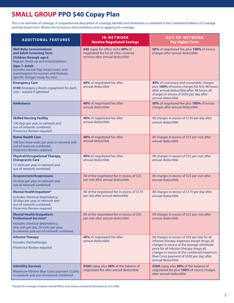## **SMALL GROUP PPO \$40 Copay Plan**

*This is an overview of coverage. A comprehensive description of coverage, benefits and limitations is contained in the Combined Evidence of Coverage and Disclosure Form. Review the Exclusions and Limitations prior to applying for coverage.*

| <b>ADDITIONAL FEATURES</b>                                                                                                                                                                                                                                               | <b>IN-NETWORK</b><br><b>Receive Negotiated Savings</b>                                                           | <b>OUT-OF-NETWORK</b><br><b>Pay Higher Costs</b>                                                                                                                                                                                                                                                        |  |
|--------------------------------------------------------------------------------------------------------------------------------------------------------------------------------------------------------------------------------------------------------------------------|------------------------------------------------------------------------------------------------------------------|---------------------------------------------------------------------------------------------------------------------------------------------------------------------------------------------------------------------------------------------------------------------------------------------------------|--|
| <b>Well Baby Immunizations</b><br>and Adult Screening Tests<br><b>Children through age 6</b><br>Regular check-up and immunizations<br><b>Ages 7-Adult</b><br>Includes annual Pap, breast exam, and<br>mammogram for women and Prostate<br>Specific Antigen study for men | \$40 copay for office visits; 40% of<br>negotiated fee for all other covered<br>services after annual deductible | 50% of negotiated fee, plus 100% of excess<br>charges after annual deductible                                                                                                                                                                                                                           |  |
| <b>Emergency Care</b><br>\$100 Emergency Room copayment for each<br>visit - waived if admitted                                                                                                                                                                           | 40% of negotiated fee after<br>annual deductible                                                                 | 40% of customary and reasonable charges<br>plus 100% of excess charges for first 48 hours<br>after annual deductible; after 48 hours, all<br>charges in excess of \$650 per day after<br>annual deductible                                                                                              |  |
| <b>Ambulance</b>                                                                                                                                                                                                                                                         | 40% of negotiated fee after<br>annual deductible                                                                 | 50% of negotiated fee plus 100% of excess<br>charges after annual deductible                                                                                                                                                                                                                            |  |
| <b>Skilled Nursing Facility</b><br>100 days per year, in-network and<br>out-of-network combined;<br>Preservice Review required                                                                                                                                           | 40% of negotiated fee after<br>annual deductible                                                                 | All charges in excess of \$150 per day after<br>annual deductible                                                                                                                                                                                                                                       |  |
| <b>Home Health Care</b><br>100 four-hour visits per year, in-network and<br>out-of-network combined;<br>Preservice Review required                                                                                                                                       | 40% of negotiated fee after<br>annual deductible                                                                 | All charges in excess of \$75 per visit after<br>annual deductible                                                                                                                                                                                                                                      |  |
| <b>Physical/Occupational Therapy,</b><br><b>Chiropractic Care</b><br>12 visits per year, in-network and<br>out-of-network combined                                                                                                                                       | 40% of negotiated fee after<br>annual deductible                                                                 | All charges in excess of \$25 per visit after<br>annual deductible                                                                                                                                                                                                                                      |  |
| <b>Acupuncture/Acupressure</b><br>24 visits per year, in-network and<br>out-of-network combined                                                                                                                                                                          | All of the negotiated fee in excess of \$25<br>per visit after annual deductible                                 | All charges in excess of \$25 per visit after<br>annual deductible                                                                                                                                                                                                                                      |  |
| <b>Mental Health/Inpatient*</b><br>Includes chemical dependency;<br>30 days per year, in-network and<br>out-of-network combined;<br>Preservice Review required                                                                                                           | All of the negotiated fee in excess of \$175<br>per day after annual deductible                                  | All charges in excess of \$175 per day after<br>annual deductible                                                                                                                                                                                                                                       |  |
| <b>Mental Health/Outpatient</b><br><b>Professional Services*</b><br>Includes chemical dependency;<br>One visit per day, 20 visits per year,<br>in-network and out-of-network combined                                                                                    | All of the negotiated fee in excess of \$25<br>per visit after annual deductible                                 | All charges in excess of \$25 per visit after<br>annual deductible                                                                                                                                                                                                                                      |  |
| <b>Infusion Therapy</b><br>Includes chemotherapy<br>Preservice Review required                                                                                                                                                                                           | 40% of negotiated fee after<br>annual deductible                                                                 | All charges in excess of \$50 per day for all<br>infusion therapy expenses except drugs; all<br>charges in excess of the average wholesale<br>price for all infusion therapy drugs; all<br>charges in excess of the combined maximum<br>Blue Cross payment of \$500 per day; after<br>annual deductible |  |
| <b>Infertility Services</b><br>Maximum lifetime Blue Cross payment \$2,000,<br>in-network and out-of-network combined                                                                                                                                                    | \$500 copay plus 40% of the balance of<br>negotiated fee after annual deductible                                 | \$500 copay plus 50% of the balance of<br>negotiated fee plus 100% of excess charges<br>after annual deductible                                                                                                                                                                                         |  |

**\*** *Except for coverage of severe mental illness and serious emotional disturbances of a child.*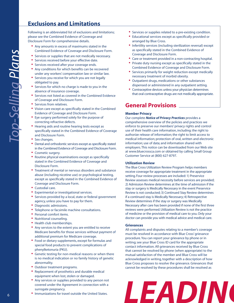## **Exclusions and Limitations**

Following is an abbreviated list of exclusions and limitations; please see the Combined Evidence of Coverage and Disclosure Form for comprehensive details.

- **•** Any amounts in excess of maximums stated in the Combined Evidence of Coverage and Disclosure Form.
- **•** Services or supplies that are not medically necessary.
- **•** Services received before your effective date.
- **•** Services received after your coverage ends.
- **•** Any conditions for which benefits can be recovered under any workers' compensation law or similar law.
- **•** Services you receive for which you are not legally obligated to pay.
- **•** Services for which no charge is made to you in the absence of insurance coverage.
- **•** Services not listed as covered in the Combined Evidence of Coverage and Disclosure Form.
- **•** Services from relatives.
- **•** Vision care except as specifically stated in the Combined Evidence of Coverage and Disclosure Form.
- **•** Eye surgery performed solely for the purpose of correcting refractive defects.
- **•** Hearing aids and routine hearing tests except as specifically stated in the Combined Evidence of Coverage and Disclosure Form.
- **•** Sex changes.
- **•** Dental and orthodontic services except as specifically stated in the Combined Evidence of Coverage and Disclosure Form.
- **•** Cosmetic surgery.
- **•** Routine physical examinations except as specifically stated in the Combined Evidence of Coverage and Disclosure Form.
- **•** Treatment of mental or nervous disorders and substance abuse (including nicotine use) or psychological testing, except as specifically stated in the Combined Evidence of Coverage and Disclosure Form.
- **•** Custodial care.
- **•** Experimental or investigational services.
- **•** Services provided by a local, state or federal government agency, unless you have to pay for them.
- **•** Diagnostic admissions.
- **•** Telephone or facsimile machine consultations.
- **•** Personal comfort items.
- **•** Nutritional counseling.
- **•** Health club memberships.
- **•** Any services to the extent you are entitled to receive Medicare benefits for those services without payment of additional premium for Medicare coverage.
- **•** Food or dietary supplements, except for formulas and special food products to prevent complications of phenylketonuria (PKU).
- **•** Genetic testing for non-medical reasons or when there is no medical indication or no family history of genetic abnormality.
- **•** Outdoor treatment programs.
- **•** Replacement of prosthetics and durable medical equipment when lost, stolen or damaged.
- **•** Any services or supplies provided to any person not covered under the Agreement in connection with a surrogate pregnancy.
- **•** Immunizations for travel outside the United States.
- **•** Services or supplies related to a pre-existing condition.
- **•** Educational services except as specifically provided or arranged by Blue Cross.
- **•** Infertility services (including sterilization reversal) except as specifically stated in the Combined Evidence of Coverage and Disclosure Form.
- **•** Care or treatment provided in a non-contracting hospital.
- **•** Private duty nursing except as specifically stated in the Combined Evidence of Coverage and Disclosure Form.
- **•** Services primarily for weight reduction except medically necessary treatment of morbid obesity.
- **•** Outpatient drugs, medications or other substances dispensed or administered in any outpatient setting.
- **•** Contraceptive devices unless your physician determines that oral contraceptive drugs are not medically appropriate.

### **General Provisions**

#### **Member Privacy**

Our complete *Notice of Privacy Practices* provides a comprehensive overview of the policies and practices we enforce to preserve our members' privacy rights and control use of their health care information, including: the right to authorize release of information; the right to limit access to medical information; protection of oral, written and electronic information; use of data; and information shared with employers. This notice can be downloaded from our Web site at www.bluecrossca.com or obtained by calling Small Group Customer Service at (800) 627-8797.

#### **Utilization Review**

The Blue Cross Utilization Review Program helps members receive coverage for appropriate treatment in the appropriate setting. Four review processes are included: 1) Preservice Review assesses medical necessity before services are provided; 2) Admission Review determines at the time of admission if the stay or surgery is Medically Necessary in the event Preservice Review is not conducted; 3) Continued Stay Review determines if a continued stay is Medically Necessary; 4) Retrospective Review determines if the stay or surgery was Medically Necessary after care has been provided if none of the first three reviews were performed. Utilization Review is not the practice of medicine or the provision of medical care to you. Only your doctor can provide you with medical advice and medical care.

#### **Grievances**

All complaints and disputes relating to a member's coverage must be resolved in accordance with Blue Cross' grievance procedure. You can report your grievance by phone or in writing; see your Blue Cross ID card for the appropriate contact information. All grievances received by Blue Cross that cannot be resolved by phone (when appropriate) to the mutual satisfaction of the member and Blue Cross will be acknowledged in writing, together with a description of how Blue Cross proposes to resolve the grievance. Grievances that cannot be resolved by these procedures shall be resolved as

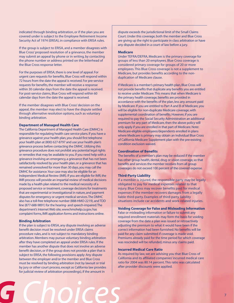indicated through binding arbitration, or if the plan you are covered under is subject to the Employee Retirement Income Security Act of 1974 (ERISA), in compliance with ERISA rules.

If the group is subject to ERISA, and a member disagrees with Blue Cross' proposed resolution of a grievance, the member may submit an appeal by phone or in writing, by contacting the phone number or address printed on the letterhead of the Blue Cross response letter.

For the purposes of ERISA, there is one level of appeal. For urgent care requests for benefits, Blue Cross will respond within 72 hours from the date the appeal is received. For pre-service requests for benefits, the member will receive a response within 30 calendar days from the date the appeal is received. For post-service claims, Blue Cross will respond within 60 calendar days from the date the appeal is received.

If the member disagrees with Blue Cross' decision on the appeal, the member may elect to have the dispute settled through alternative resolution options, such as voluntary binding arbitration.

#### **Department of Managed Health Care**

The California Department of Managed Health Care (DMHC) is responsible for regulating health care service plans. If you have a grievance against your health plan, you should first telephone your health plan at (800) 627-8797 and use your health plan's grievance process before contacting the DMHC. Utilizing this grievance procedure does not prohibit any potential legal rights or remedies that may be available to you. If you need help with a grievance involving an emergency, a grievance that has not been satisfactorily resolved by your health plan, or a grievance that has remained unresolved for more than 30 days, you may call the DMHC for assistance.Your case may also be eligible for an Independent Medical Review (IMR). If you are eligible for IMR, the IMR process will provide an impartial review of medical decisions made by a health plan related to the medical necessity of a proposed service or treatment, coverage decisions for treatments that are experimental or investigational in nature, and payment disputes for emergency or urgent medical services.The DMHC also has a toll-free telephone number (888-HMO-2219),and TDD line (877-688-9891) for the hearing- and speech-impaired.The department's Internet Web site, www.hmohelp.ca.gov, has complaint forms, IMR application forms and instructions online.

### **Binding Arbitration**

If the plan is subject to ERISA, any dispute involving an adverse benefit decision must be resolved under ERISA claims procedure rules, and is not subject to mandatory binding arbitration.Members may pursue voluntary binding arbitration after they have completed an appeal under ERISA rules. If the member has another dispute that does not involve an adverse benefit decision, or if the group does not provide a plan that is subject to ERISA, the following provisions apply: Any dispute between the employer and/or the member and Blue Cross must be resolved by binding arbitration (not by lawsuit or trial by jury or other court process, except as California law provides for judicial review of arbitration proceedings), if the amount in

dispute exceeds the jurisdictional limit of the Small Claims Court. Under this coverage, both the member and Blue Cross are giving up the right to participate in class arbitration or have any dispute decided in a court of law before a jury.

#### **Medicare**

Under TEFRA/DEFRA, Medicare is the primary coverage for groups of less than 20 employees. Blue Cross coverage is considered primary coverage for groups of 20 or more employees. This Blue Cross coverage is not a supplement to Medicare, but provides benefits according to the nonduplication of Medicare clause.

If Medicare is a member's primary health plan, Blue Cross will not provide benefits that duplicate any benefits you are entitled to receive under Medicare.This means that when Medicare is the primary health coverage, benefits are provided in accordance with the benefits of the plan, less any amount paid by Medicare. If you are entitled to Part A and B of Medicare, you will be eligible for non-duplicate Medicare coverage, with supplemental coordination of benefits. However, if you are required to pay the Social Security Administration an additional premium for any part of Medicare, then the above policy will only apply if you are enrolled in that part of Medicare. Note: Medicare-eligible employees/dependents enrolled in plans where Medicare is primary may obtain an Individual Blue Cross of California Medicare Supplement plan with the pre-existing condition exclusion waived.

#### **Coordination of Benefits**

The benefits of a member's plan may be reduced if the member has other group health, dental, drug or vision coverage, so that benefits and services the member receives from all group coverages do not exceed 100 percent of the covered expense.

#### **Third-Party Liability**

If a member is injured, the responsible party may be legally obligated to pay for medical expenses related to that injury. Blue Cross may recover benefits paid for medical expenses if the member recovers damages from a legally liable third-party. Examples of third-party liability situations include car accidents and work-related injuries.

### **Voiding Coverage for False and Misleading Information**

False or misleading information or failure to submit any required enrollment materials may form the basis for voiding coverage from the date a plan was issued or retroactively adjusting the premium to what it would have been if the correct information had been furnished. No benefits will be paid for any claim submitted if coverage is made void. Premiums already paid for the time period for which coverage was rescinded will be refunded, minus any claims paid.

#### **Incurred Medical Care Ratio**

As required by law, we are advising you that Blue Cross of California and its affiliated companies' incurred medical care ratio for 2004 was 80.14 percent. This ratio was calculated after provider discounts were applied.